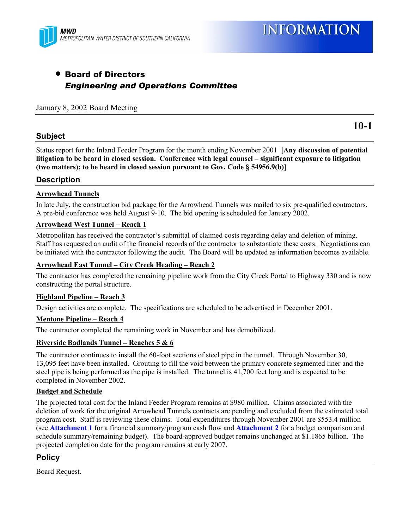

## • Board of Directors *Engineering and Operations Committee*

#### January 8, 2002 Board Meeting

#### **Subject**

**10-1**

Status report for the Inland Feeder Program for the month ending November 2001 **[Any discussion of potential** litigation to be heard in closed session. Conference with legal counsel – significant exposure to litigation **(two matters); to be heard in closed session pursuant to Gov. Code ß 54956.9(b)]**

#### **Description**

#### **Arrowhead Tunnels**

In late July, the construction bid package for the Arrowhead Tunnels was mailed to six pre-qualified contractors. A pre-bid conference was held August 9-10. The bid opening is scheduled for January 2002.

#### **Arrowhead West Tunnel - Reach 1**

Metropolitan has received the contractor's submittal of claimed costs regarding delay and deletion of mining. Staff has requested an audit of the financial records of the contractor to substantiate these costs. Negotiations can be initiated with the contractor following the audit. The Board will be updated as information becomes available.

#### Arrowhead East Tunnel – City Creek Heading – Reach 2

The contractor has completed the remaining pipeline work from the City Creek Portal to Highway 330 and is now constructing the portal structure.

#### **Highland Pipeline – Reach 3**

Design activities are complete. The specifications are scheduled to be advertised in December 2001.

#### **Mentone Pipeline – Reach 4**

The contractor completed the remaining work in November and has demobilized.

#### **Riverside Badlands Tunnel – Reaches 5 & 6**

The contractor continues to install the 60-foot sections of steel pipe in the tunnel. Through November 30, 13,095 feet have been installed. Grouting to fill the void between the primary concrete segmented liner and the steel pipe is being performed as the pipe is installed. The tunnel is 41,700 feet long and is expected to be completed in November 2002.

#### **Budget and Schedule**

The projected total cost for the Inland Feeder Program remains at \$980 million. Claims associated with the deletion of work for the original Arrowhead Tunnels contracts are pending and excluded from the estimated total program cost. Staff is reviewing these claims. Total expenditures through November 2001 are \$553.4 million (see **Attachment 1** for a financial summary/program cash flow and **Attachment 2** for a budget comparison and schedule summary/remaining budget). The board-approved budget remains unchanged at \$1.1865 billion. The projected completion date for the program remains at early 2007.

#### **Policy**

Board Request.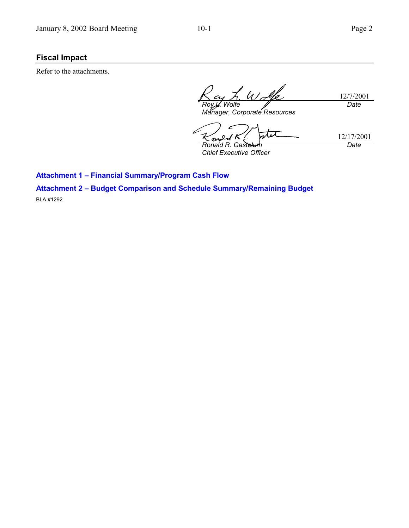### **Fiscal Impact**

Refer to the attachments.

 $\mathscr{U}_{\mathscr{A}}$ l/o 12/7/2001 *Wolfe Date Manager, Corporate Resources*

 $\boldsymbol{\varpi}$ 12/17/2001

S *Ronald R. Gastelum Chief Executive Officer*

*Date*

**Attachment 1 - Financial Summary/Program Cash Flow** 

**Attachment 2 - Budget Comparison and Schedule Summary/Remaining Budget** 

BLA #1292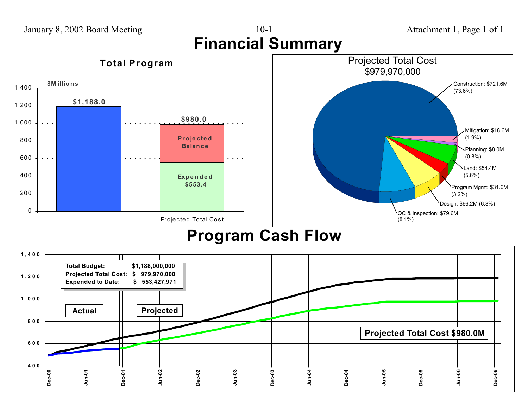